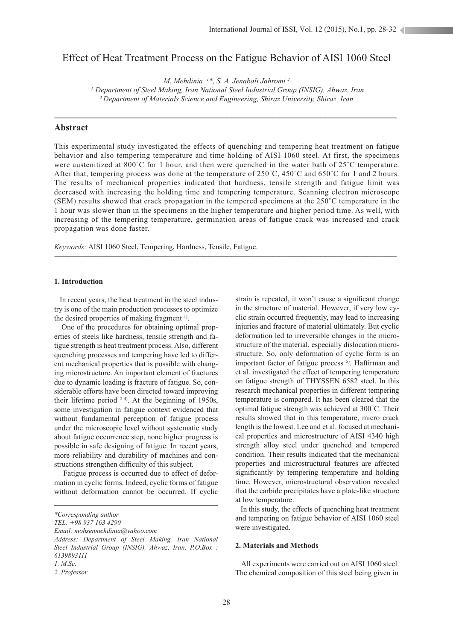# Effect of Heat Treatment Process on the Fatigue Behavior of AISI 1060 Steel

*M. Mehdinia 1 \*, S. A. Jenabali Jahromi 2*

*1 Department of Steel Making, Iran National Steel Industrial Group (INSIG), Ahwaz. Iran 2 Department of Materials Science and Engineering, Shiraz University, Shiraz, Iran*

-------------------------------------------------------------------------------------------------------------------------------------------------------------------------------------------------

## **Abstract**

This experimental study investigated the effects of quenching and tempering heat treatment on fatigue behavior and also tempering temperature and time holding of AISI 1060 steel. At first, the specimens were austenitized at 800°C for 1 hour, and then were quenched in the water bath of 25°C temperature. After that, tempering process was done at the temperature of 250˚C, 450˚C and 650˚C for 1 and 2 hours. The results of mechanical properties indicated that hardness, tensile strength and fatigue limit was decreased with increasing the holding time and tempering temperature. Scanning electron microscope (SEM) results showed that crack propagation in the tempered specimens at the 250˚C temperature in the 1 hour was slower than in the specimens in the higher temperature and higher period time. As well, with increasing of the tempering temperature, germination areas of fatigue crack was increased and crack propagation was done faster.

-------------------------------------------------------------------------------------------------------------------------------------------------------------------------------------------------

*Keywords:* AISI 1060 Steel, Tempering, Hardness, Tensile, Fatigue.

## **1. Introduction**

 In recent years, the heat treatment in the steel industry is one of the main production processes to optimize the desired properties of making fragment <sup>1)</sup>.

 One of the procedures for obtaining optimal properties of steels like hardness, tensile strength and fatigue strength is heat treatment process. Also, different quenching processes and tempering have led to different mechanical properties that is possible with changing microstructure. An important element of fractures due to dynamic loading is fracture of fatigue. So, considerable efforts have been directed toward improving their lifetime period  $2-4$ ). At the beginning of 1950s, some investigation in fatigue context evidenced that without fundamental perception of fatigue process under the microscopic level without systematic study about fatigue occurrence step, none higher progress is possible in safe designing of fatigue. In recent years, more reliability and durability of machines and constructions strengthen difficulty of this subject.

 Fatigue process is occurred due to effect of deformation in cyclic forms. Indeed, cyclic forms of fatigue without deformation cannot be occurred. If cyclic

*TEL: +98 937 163 4290*

*Email: mohsenmehdinia@yahoo.com Address: Department of Steel Making, Iran National*  strain is repeated, it won't cause a significant change in the structure of material. However, if very low cyclic strain occurred frequently, may lead to increasing injuries and fracture of material ultimately. But cyclic deformation led to irreversible changes in the microstructure of the material, especially dislocation microstructure. So, only deformation of cyclic form is an important factor of fatigue process  $5$ . Haftirman and et al. investigated the effect of tempering temperature on fatigue strength of THYSSEN 6582 steel. In this research mechanical properties in different tempering temperature is compared. It has been cleared that the optimal fatigue strength was achieved at 300˚C. Their results showed that in this temperature, micro crack length is the lowest. Lee and et al. focused at mechanical properties and microstructure of AISI 4340 high strength alloy steel under quenched and tempered condition. Their results indicated that the mechanical properties and microstructural features are affected significantly by tempering temperature and holding time. However, microstructural observation revealed that the carbide precipitates have a plate-like structure at low temperature.

 In this study, the effects of quenching heat treatment and tempering on fatigue behavior of AISI 1060 steel were investigated.

## **2. Materials and Methods**

 All experiments were carried out on AISI 1060 steel. The chemical composition of this steel being given in

*<sup>\*</sup>Corresponding author*

*Steel Industrial Group (INSIG), Ahwaz, Iran, P.O.Box : 6139893111*

*<sup>1.</sup> M.Sc.*

*<sup>2.</sup> Professor*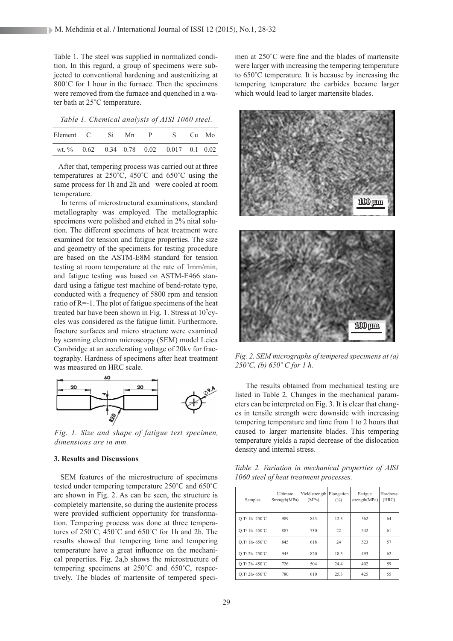Table 1. The steel was supplied in normalized condition. In this regard, a group of specimens were subjected to conventional hardening and austenitizing at 800°C for 1 hour in the furnace. Then the specimens were removed from the furnace and quenched in a water bath at 25˚C temperature.

*Table 1. Chemical analysis of AISI 1060 steel.*

| Element C Si |  | Mn. | $\mathbf{P}$ | S -                                      | Cu Mo |
|--------------|--|-----|--------------|------------------------------------------|-------|
|              |  |     |              | wt. % 0.62 0.34 0.78 0.02 0.017 0.1 0.02 |       |

 After that, tempering process was carried out at three temperatures at 250˚C, 450˚C and 650˚C using the same process for 1h and 2h and were cooled at room temperature.

 In terms of microstructural examinations, standard metallography was employed. The metallographic specimens were polished and etched in 2% nital solution. The different specimens of heat treatment were examined for tension and fatigue properties. The size and geometry of the specimens for testing procedure are based on the ASTM-E8M standard for tension testing at room temperature at the rate of 1mm/min, and fatigue testing was based on ASTM-E466 standard using a fatigue test machine of bend-rotate type, conducted with a frequency of 5800 rpm and tension ratio of R=-1. The plot of fatigue specimens of the heat treated bar have been shown in Fig. 1. Stress at 10<sup>7</sup>cycles was considered as the fatigue limit. Furthermore, fracture surfaces and micro structure were examined by scanning electron microscopy (SEM) model Leica Cambridge at an accelerating voltage of 20kv for fractography. Hardness of specimens after heat treatment was measured on HRC scale.



*Fig. 1. Size and shape of fatigue test specimen, dimensions are in mm.*

## **3. Results and Discussions**

 SEM features of the microstructure of specimens tested under tempering temperature 250˚C and 650˚C are shown in Fig. 2. As can be seen, the structure is completely martensite, so during the austenite process were provided sufficient opportunity for transformation. Tempering process was done at three temperatures of 250˚C, 450˚C and 650˚C for 1h and 2h. The results showed that tempering time and tempering temperature have a great influence on the mechanical properties. Fig. 2a,b shows the microstructure of tempering specimens at 250˚C and 650˚C, respectively. The blades of martensite of tempered specimen at 250˚C were fine and the blades of martensite were larger with increasing the tempering temperature to 650˚C temperature. It is because by increasing the tempering temperature the carbides became larger which would lead to larger martensite blades.



*Fig. 2. SEM micrographs of tempered specimens at (a) 250˚C, (b) 650˚ C for 1 h.*

 The results obtained from mechanical testing are listed in Table 2. Changes in the mechanical parameters can be interpreted on Fig. 3. It is clear that changes in tensile strength were downside with increasing tempering temperature and time from 1 to 2 hours that caused to larger martensite blades. This tempering temperature yields a rapid decrease of the dislocation density and internal stress.

*Table 2. Variation in mechanical properties of AISI 1060 steel of heat treatment processes.*

| Samples          | Ultimate<br>Strength(MPa) | Yield strength Elongation<br>(MPa) | $(\%)$ | Fatigue<br>strength $(MPa)$ | Hardness<br>(HRC) |
|------------------|---------------------------|------------------------------------|--------|-----------------------------|-------------------|
| $Q.T/1h-250°C$   | 989                       | 843                                | 12.3   | 562                         | 64                |
| $O.T/1h-450°C$   | 887                       | 730                                | 22     | 542                         | 61                |
| $Q.T/1h-650°C$   | 845                       | 618                                | 24     | 523                         | 57                |
| Q.T/2h-250°C     | 945                       | 820                                | 18.5   | 493                         | 62                |
| $Q.T/ 2h- 450°C$ | 726                       | 504                                | 24.4   | 402                         | 59                |
| $Q.T/ 2h- 650°C$ | 780                       | 610                                | 25.3   | 425                         | 55                |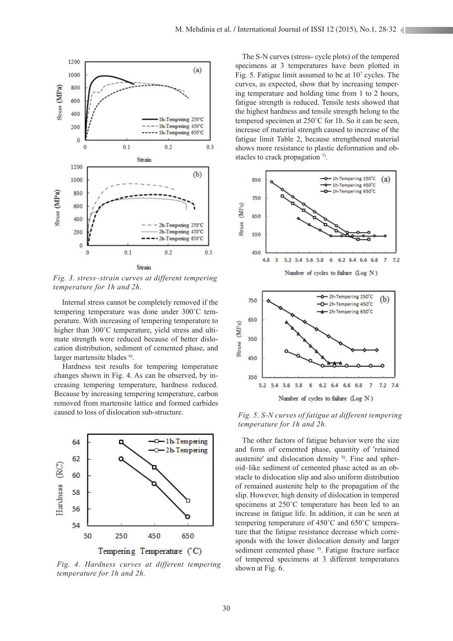

*Fig. 3. stress–strain curves at different tempering temperature for 1h and 2h.*

 Internal stress cannot be completely removed if the tempering temperature was done under 300˚C temperature. With increasing of tempering temperature to higher than 300°C temperature, yield stress and ultimate strength were reduced because of better dislocation distribution, sediment of cemented phase, and larger martensite blades <sup>6</sup>.

 Hardness test results for tempering temperature changes shown in Fig. 4. As can be observed, by increasing tempering temperature, hardness reduced. Because by increasing tempering temperature, carbon removed from martensite lattice and formed carbides caused to loss of dislocation sub-structure.



*Fig. 4. Hardness curves at different tempering temperature for 1h and 2h.*

 The S-N curves (stress- cycle plots) of the tempered specimens at 3 temperatures have been plotted in Fig. 5. Fatigue limit assumed to be at  $10<sup>7</sup>$  cycles. The curves, as expected, show that by increasing tempering temperature and holding time from 1 to 2 hours, fatigue strength is reduced. Tensile tests showed that the highest hardness and tensile strength belong to the tempered specimen at 250˚C for 1h. So it can be seen, increase of material strength caused to increase of the fatigue limit Table 2, because strengthened material shows more resistance to plastic deformation and obstacles to crack propagation  $\frac{7}{2}$ .



*Fig. 5. S-N curves of fatigue at different tempering temperature for 1h and 2h.*

 The other factors of fatigue behavior were the size and form of cemented phase, quantity of 'retained austenite' and dislocation density 8). Fine and spheroid–like sediment of cemented phase acted as an obstacle to dislocation slip and also uniform distribution of remained austenite help to the propagation of the slip. However, high density of dislocation in tempered specimens at 250°C temperature has been led to an increase in fatigue life. In addition, it can be seen at tempering temperature of 450˚C and 650˚C temperature that the fatigue resistance decrease which corresponds with the lower dislocation density and larger sediment cemented phase <sup>9)</sup>. Fatigue fracture surface of tempered specimens at 3 different temperatures shown at Fig. 6.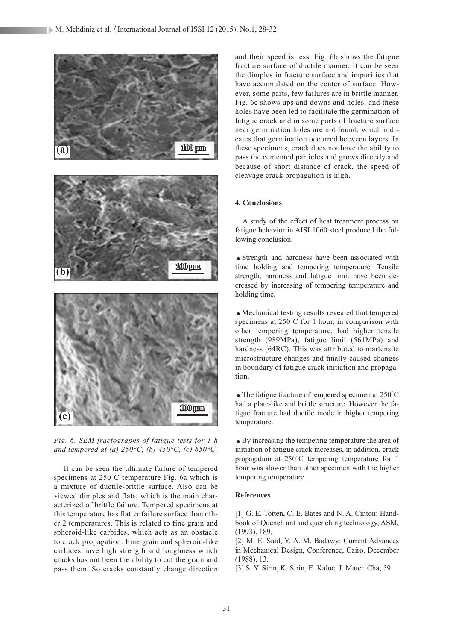

*Fig. 6. SEM fractographs of fatigue tests for 1 h and tempered at (a) 250°C, (b) 450°C, (c) 650°C.*

 It can be seen the ultimate failure of tempered specimens at 250˚C temperature Fig. 6a which is a mixture of ductile-brittle surface. Also can be viewed dimples and flats, which is the main characterized of brittle failure. Tempered specimens at this temperature has flatter failure surface than other 2 temperatures. This is related to fine grain and spheroid-like carbides, which acts as an obstacle to crack propagation. Fine grain and spheroid-like carbides have high strength and toughness which cracks has not been the ability to cut the grain and pass them. So cracks constantly change direction and their speed is less. Fig. 6b shows the fatigue fracture surface of ductile manner. It can be seen the dimples in fracture surface and impurities that have accumulated on the center of surface. However, some parts, few failures are in brittle manner. Fig. 6c shows ups and downs and holes, and these holes have been led to facilitate the germination of fatigue crack and in some parts of fracture surface near germination holes are not found, which indicates that germination occurred between layers. In these specimens, crack does not have the ability to pass the cemented particles and grows directly and because of short distance of crack, the speed of cleavage crack propagation is high.

### **4. Conclusions**

 A study of the effect of heat treatment process on fatigue behavior in AISI 1060 steel produced the following conclusion.

.Strength and hardness have been associated with time holding and tempering temperature. Tensile strength, hardness and fatigue limit have been decreased by increasing of tempering temperature and holding time.

.Mechanical testing results revealed that tempered specimens at 250°C for 1 hour, in comparison with other tempering temperature, had higher tensile strength (989MPa), fatigue limit (561MPa) and hardness (64RC). This was attributed to martensite microstructure changes and finally caused changes in boundary of fatigue crack initiation and propagation.

 $\bullet$  The fatigue fracture of tempered specimen at 250 $^{\circ}$ C had a plate-like and brittle structure. However the fatigue fracture had ductile mode in higher tempering temperature.

.By increasing the tempering temperature the area of initiation of fatigue crack increases, in addition, crack propagation at 250˚C tempering temperature for 1 hour was slower than other specimen with the higher tempering temperature.

### **References**

[1] G. E. Totten, C. E. Bates and N. A. Cinton: Handbook of Quench ant and quenching technology, ASM, (1993), 189.

[2] M. E. Said, Y. A. M. Badawy: Current Advances in Mechanical Design, Conference, Cairo, December (1988), 13.

[3] S. Y. Sirin, K. Sirin, E. Kaluc, J. Mater. Cha, 59